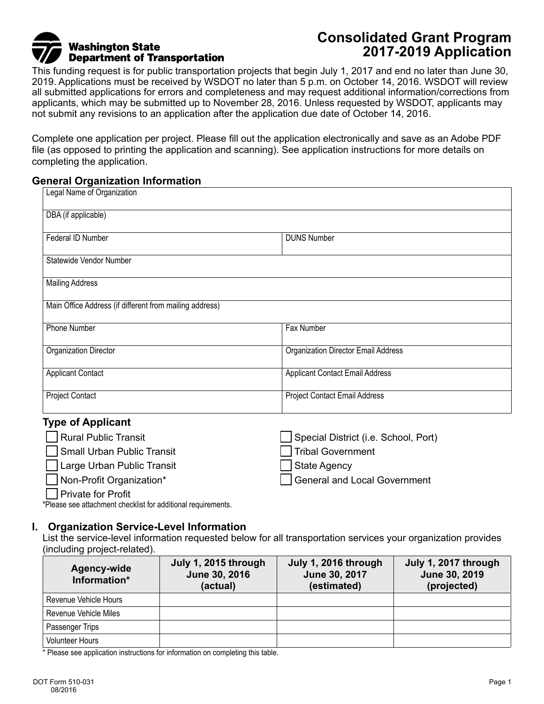# **Washington State Department of Transportation**

## **Consolidated Grant Program 2017-2019 Application**

This funding request is for public transportation projects that begin July 1, 2017 and end no later than June 30, 2019. Applications must be received by WSDOT no later than 5 p.m. on October 14, 2016. WSDOT will review all submitted applications for errors and completeness and may request additional information/corrections from applicants, which may be submitted up to November 28, 2016. Unless requested by WSDOT, applicants may not submit any revisions to an application after the application due date of October 14, 2016.

Complete one application per project. Please fill out the application electronically and save as an Adobe PDF file (as opposed to printing the application and scanning). See application instructions for more details on completing the application.

#### **General Organization Information**

| Legal Name of Organization                              |                                            |  |  |  |  |
|---------------------------------------------------------|--------------------------------------------|--|--|--|--|
| DBA (if applicable)                                     |                                            |  |  |  |  |
| Federal ID Number<br><b>DUNS Number</b>                 |                                            |  |  |  |  |
| Statewide Vendor Number                                 |                                            |  |  |  |  |
| <b>Mailing Address</b>                                  |                                            |  |  |  |  |
| Main Office Address (if different from mailing address) |                                            |  |  |  |  |
| Phone Number                                            | Fax Number                                 |  |  |  |  |
| <b>Organization Director</b>                            | <b>Organization Director Email Address</b> |  |  |  |  |
| <b>Applicant Contact</b>                                | <b>Applicant Contact Email Address</b>     |  |  |  |  |
| <b>Project Contact</b>                                  | Project Contact Email Address              |  |  |  |  |

#### **Type of Applicant**

| Rural Public Transit       | Special District (i.e. School, Port) |
|----------------------------|--------------------------------------|
| Small Urban Public Transit | Tribal Government                    |
| Large Urban Public Transit | State Agency                         |
| Non-Profit Organization*   | General and Local Government         |
| Private for Profit         |                                      |

\*Please see attachment checklist for additional requirements.

#### **I. Organization Service-Level Information**

List the service-level information requested below for all transportation services your organization provides (including project-related).

| <b>Agency-wide</b><br>Information* | July 1, 2015 through<br>June 30, 2016<br>(actual) | July 1, 2016 through<br>June 30, 2017<br>(estimated) | July 1, 2017 through<br>June 30, 2019<br>(projected) |
|------------------------------------|---------------------------------------------------|------------------------------------------------------|------------------------------------------------------|
| Revenue Vehicle Hours              |                                                   |                                                      |                                                      |
| Revenue Vehicle Miles              |                                                   |                                                      |                                                      |
| Passenger Trips                    |                                                   |                                                      |                                                      |
| <b>Volunteer Hours</b>             |                                                   |                                                      |                                                      |

\* Please see application instructions for information on completing this table.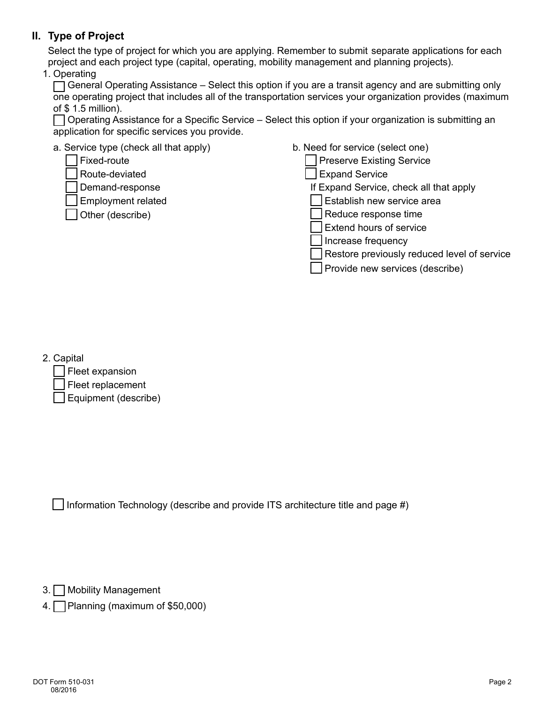## **II. Type of Project**

Select the type of project for which you are applying. Remember to submit separate applications for each project and each project type (capital, operating, mobility management and planning projects).

1. Operating

 $\Box$  General Operating Assistance – Select this option if you are a transit agency and are submitting only one operating project that includes all of the transportation services your organization provides (maximum of \$ 1.5 million).

 Operating Assistance for a Specific Service – Select this option if your organization is submitting an application for specific services you provide.

| a. Service type (check all that apply) | b. Need for service (select one)            |
|----------------------------------------|---------------------------------------------|
| Fixed-route                            | <b>Preserve Existing Service</b>            |
| Route-deviated                         | Expand Service                              |
| Demand-response                        | If Expand Service, check all that apply     |
| <b>Employment related</b>              | Establish new service area                  |
| Other (describe)                       | Reduce response time                        |
|                                        | Extend hours of service                     |
|                                        | Increase frequency                          |
|                                        | Restore previously reduced level of service |
|                                        | Provide new services (describe)             |
|                                        |                                             |

2. Capital

| Fleet expansion             |
|-----------------------------|
| Fleet replacement           |
| $\Box$ Equipment (describe) |

 $\Box$  Information Technology (describe and provide ITS architecture title and page #)

3. Mobility Management

4. Planning (maximum of \$50,000)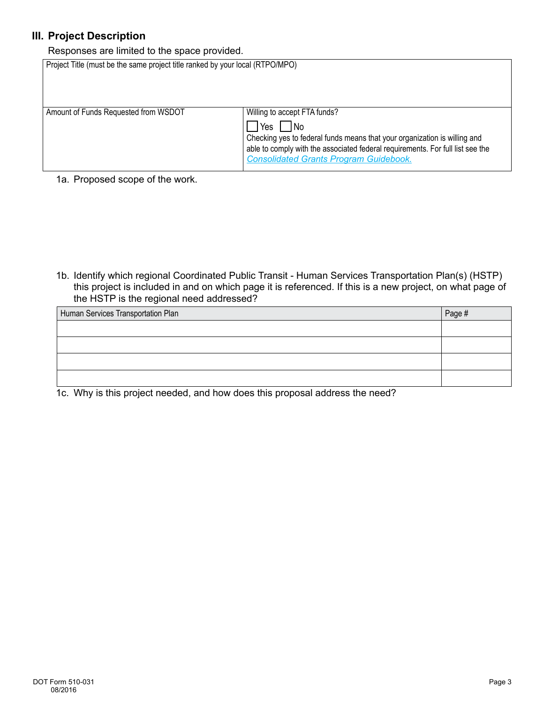## **III. Project Description**

Responses are limited to the space provided.

| Project Title (must be the same project title ranked by your local (RTPO/MPO) |                                                                                                                                                                                                                                                                      |
|-------------------------------------------------------------------------------|----------------------------------------------------------------------------------------------------------------------------------------------------------------------------------------------------------------------------------------------------------------------|
| Amount of Funds Requested from WSDOT                                          | Willing to accept FTA funds?<br>  No<br><b>I</b> Yes<br>Checking yes to federal funds means that your organization is willing and<br>able to comply with the associated federal requirements. For full list see the<br><b>Consolidated Grants Program Guidebook.</b> |

1a. Proposed scope of the work.

1b. Identify which regional Coordinated Public Transit - Human Services Transportation Plan(s) (HSTP) this project is included in and on which page it is referenced. If this is a new project, on what page of the HSTP is the regional need addressed?

| Page # |
|--------|
|        |
|        |
|        |
|        |
|        |

1c. Why is this project needed, and how does this proposal address the need?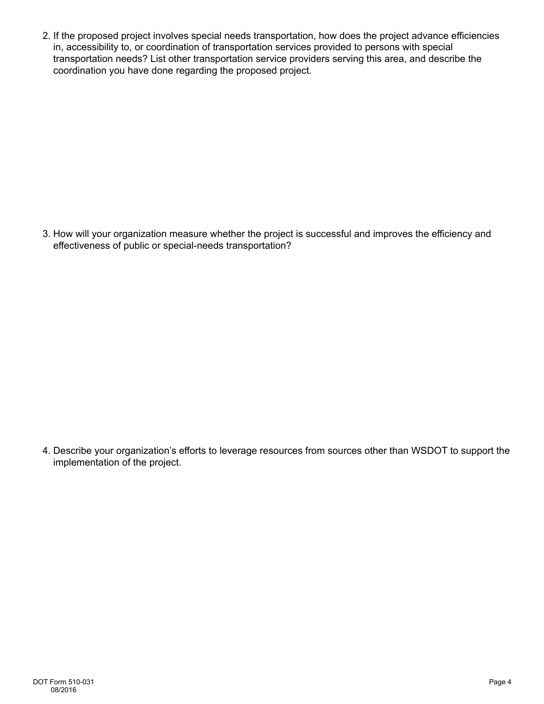2. If the proposed project involves special needs transportation, how does the project advance efficiencies in, accessibility to, or coordination of transportation services provided to persons with special transportation needs? List other transportation service providers serving this area, and describe the coordination you have done regarding the proposed project.

3. How will your organization measure whether the project is successful and improves the efficiency and effectiveness of public or special-needs transportation?

4. Describe your organization's efforts to leverage resources from sources other than WSDOT to support the implementation of the project.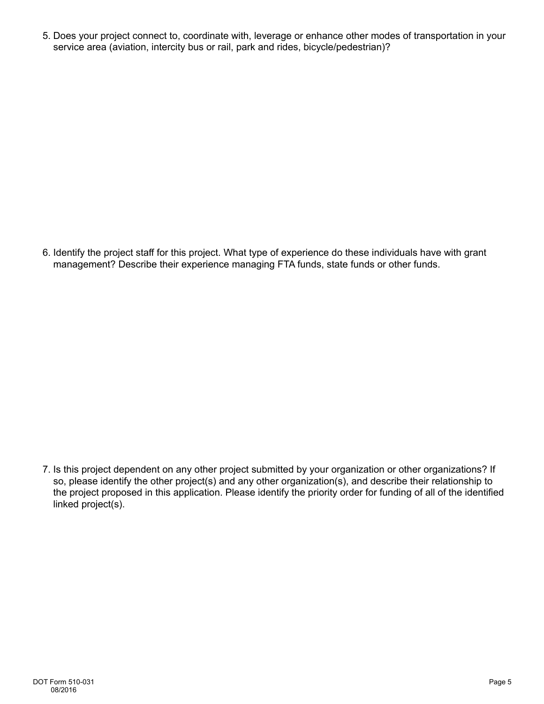5. Does your project connect to, coordinate with, leverage or enhance other modes of transportation in your service area (aviation, intercity bus or rail, park and rides, bicycle/pedestrian)?

6. Identify the project staff for this project. What type of experience do these individuals have with grant management? Describe their experience managing FTA funds, state funds or other funds.

7. Is this project dependent on any other project submitted by your organization or other organizations? If so, please identify the other project(s) and any other organization(s), and describe their relationship to the project proposed in this application. Please identify the priority order for funding of all of the identified linked project(s).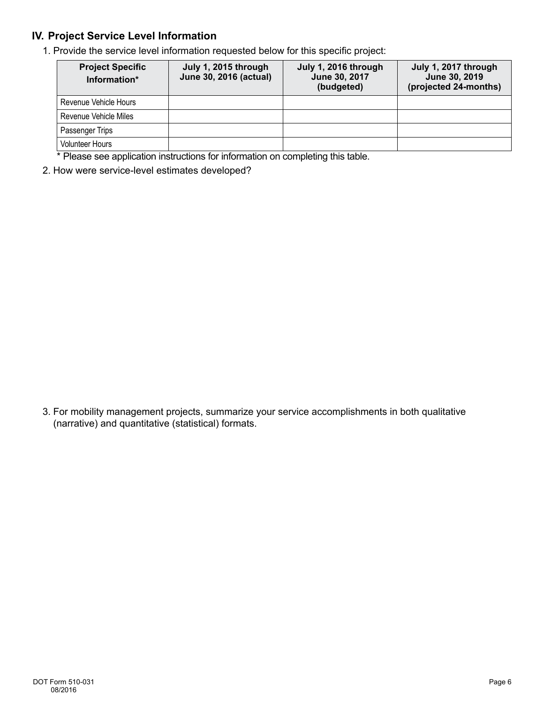## **IV. Project Service Level Information**

1. Provide the service level information requested below for this specific project:

| <b>Project Specific</b><br>Information* | July 1, 2015 through<br>June 30, 2016 (actual) | July 1, 2016 through<br>June 30, 2017<br>(budgeted) | July 1, 2017 through<br>June 30, 2019<br>(projected 24-months) |
|-----------------------------------------|------------------------------------------------|-----------------------------------------------------|----------------------------------------------------------------|
| Revenue Vehicle Hours                   |                                                |                                                     |                                                                |
| Revenue Vehicle Miles                   |                                                |                                                     |                                                                |
| Passenger Trips                         |                                                |                                                     |                                                                |
| <b>Volunteer Hours</b>                  |                                                |                                                     |                                                                |

\* Please see application instructions for information on completing this table.

2. How were service-level estimates developed?

3. For mobility management projects, summarize your service accomplishments in both qualitative (narrative) and quantitative (statistical) formats.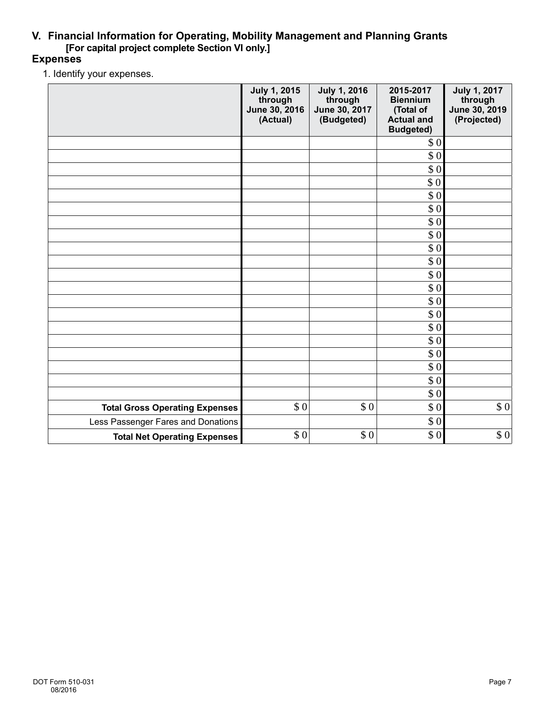## **V. Financial Information for Operating, Mobility Management and Planning Grants [For capital project complete Section VI only.]**

## **Expenses**

1. Identify your expenses.

|                                       | <b>July 1, 2015</b><br>through<br>June 30, 2016<br>(Actual) | <b>July 1, 2016</b><br>through<br>June 30, 2017<br>(Budgeted) | 2015-2017<br><b>Biennium</b><br>(Total of<br><b>Actual and</b><br><b>Budgeted)</b> | <b>July 1, 2017</b><br>through<br>June 30, 2019<br>(Projected) |
|---------------------------------------|-------------------------------------------------------------|---------------------------------------------------------------|------------------------------------------------------------------------------------|----------------------------------------------------------------|
|                                       |                                                             |                                                               | \$0                                                                                |                                                                |
|                                       |                                                             |                                                               | \$0                                                                                |                                                                |
|                                       |                                                             |                                                               | \$0                                                                                |                                                                |
|                                       |                                                             |                                                               | \$0                                                                                |                                                                |
|                                       |                                                             |                                                               | \$0                                                                                |                                                                |
|                                       |                                                             |                                                               | \$0                                                                                |                                                                |
|                                       |                                                             |                                                               | \$0                                                                                |                                                                |
|                                       |                                                             |                                                               | \$0                                                                                |                                                                |
|                                       |                                                             |                                                               | \$0                                                                                |                                                                |
|                                       |                                                             |                                                               | \$0                                                                                |                                                                |
|                                       |                                                             |                                                               | \$0                                                                                |                                                                |
|                                       |                                                             |                                                               | \$0                                                                                |                                                                |
|                                       |                                                             |                                                               | \$0                                                                                |                                                                |
|                                       |                                                             |                                                               | \$0                                                                                |                                                                |
|                                       |                                                             |                                                               | \$0                                                                                |                                                                |
|                                       |                                                             |                                                               | $\$$ 0                                                                             |                                                                |
|                                       |                                                             |                                                               | $\$$ 0                                                                             |                                                                |
|                                       |                                                             |                                                               | \$0                                                                                |                                                                |
|                                       |                                                             |                                                               | $\$$ 0                                                                             |                                                                |
|                                       |                                                             |                                                               | \$0                                                                                |                                                                |
| <b>Total Gross Operating Expenses</b> | \$0                                                         | \$0                                                           | \$0                                                                                | \$0                                                            |
| Less Passenger Fares and Donations    |                                                             |                                                               | $\$$ 0                                                                             |                                                                |
| <b>Total Net Operating Expenses</b>   | \$0                                                         | \$0                                                           | \$0                                                                                | \$0                                                            |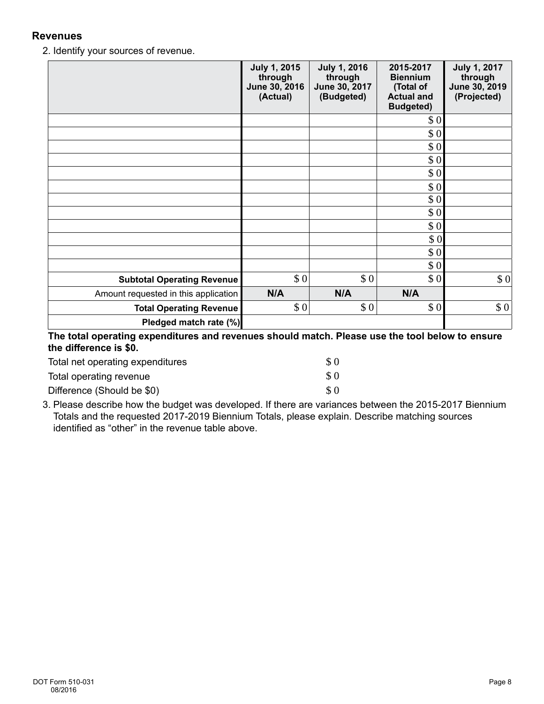#### **Revenues**

2. Identify your sources of revenue.

|                                      | <b>July 1, 2015</b><br>through<br>June 30, 2016<br>(Actual) | <b>July 1, 2016</b><br>through<br>June 30, 2017<br>(Budgeted) | 2015-2017<br><b>Biennium</b><br>(Total of<br><b>Actual and</b><br><b>Budgeted)</b> | <b>July 1, 2017</b><br>through<br>June 30, 2019<br>(Projected) |
|--------------------------------------|-------------------------------------------------------------|---------------------------------------------------------------|------------------------------------------------------------------------------------|----------------------------------------------------------------|
|                                      |                                                             |                                                               | \$0                                                                                |                                                                |
|                                      |                                                             |                                                               | \$0                                                                                |                                                                |
|                                      |                                                             |                                                               | \$0                                                                                |                                                                |
|                                      |                                                             |                                                               | \$0                                                                                |                                                                |
|                                      |                                                             |                                                               | \$0                                                                                |                                                                |
|                                      |                                                             |                                                               | \$0                                                                                |                                                                |
|                                      |                                                             |                                                               | \$0                                                                                |                                                                |
|                                      |                                                             |                                                               | \$0                                                                                |                                                                |
|                                      |                                                             |                                                               | \$0                                                                                |                                                                |
|                                      |                                                             |                                                               | \$0                                                                                |                                                                |
|                                      |                                                             |                                                               | \$0                                                                                |                                                                |
|                                      |                                                             |                                                               | \$0                                                                                |                                                                |
| <b>Subtotal Operating Revenue</b>    | \$0                                                         | \$0                                                           | \$0                                                                                | \$0                                                            |
| Amount requested in this application | N/A                                                         | N/A                                                           | N/A                                                                                |                                                                |
| <b>Total Operating Revenue</b>       | \$0                                                         | \$0                                                           | \$0                                                                                | \$0                                                            |
| Pledged match rate (%)               |                                                             |                                                               |                                                                                    |                                                                |
|                                      |                                                             |                                                               |                                                                                    |                                                                |

**The total operating expenditures and revenues should match. Please use the tool below to ensure the difference is \$0.**

| Total net operating expenditures | \$0                          |
|----------------------------------|------------------------------|
| Total operating revenue          | $\boldsymbol{\mathcal{S}}$ 0 |
| Difference (Should be \$0)       | \$0                          |

3. Please describe how the budget was developed. If there are variances between the 2015-2017 Biennium Totals and the requested 2017-2019 Biennium Totals, please explain. Describe matching sources identified as "other" in the revenue table above.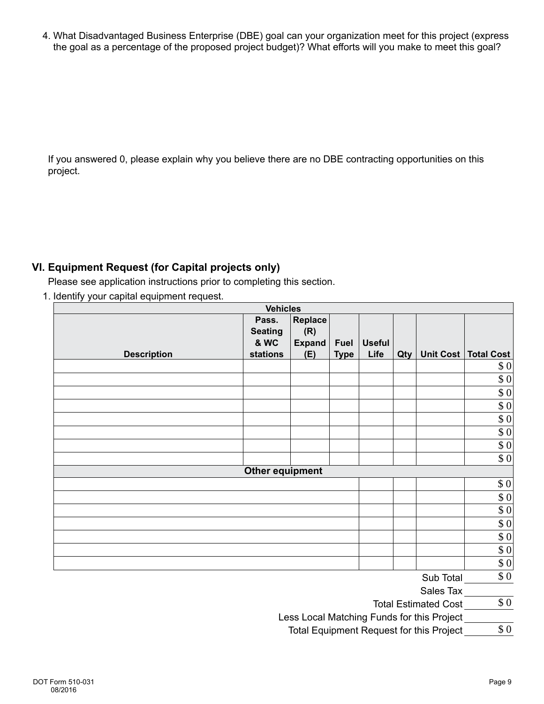4. What Disadvantaged Business Enterprise (DBE) goal can your organization meet for this project (express the goal as a percentage of the proposed project budget)? What efforts will you make to meet this goal?

If you answered 0, please explain why you believe there are no DBE contracting opportunities on this project.

## **VI. Equipment Request (for Capital projects only)**

Please see application instructions prior to completing this section.

1. Identify your capital equipment request.

| <b>Vehicles</b>    |                                                        |                                               |                            |                       |     |                                            |                   |
|--------------------|--------------------------------------------------------|-----------------------------------------------|----------------------------|-----------------------|-----|--------------------------------------------|-------------------|
| <b>Description</b> | Pass.<br><b>Seating</b><br><b>&amp; WC</b><br>stations | <b>Replace</b><br>(R)<br><b>Expand</b><br>(E) | <b>Fuel</b><br><b>Type</b> | <b>Useful</b><br>Life | Qty | <b>Unit Cost</b>                           | <b>Total Cost</b> |
|                    |                                                        |                                               |                            |                       |     |                                            | 0                 |
|                    |                                                        |                                               |                            |                       |     |                                            | $\$$ 0            |
|                    |                                                        |                                               |                            |                       |     |                                            | $\$$ 0            |
|                    |                                                        |                                               |                            |                       |     |                                            | $\$$ 0            |
|                    |                                                        |                                               |                            |                       |     |                                            | $\sqrt[6]{0}$     |
|                    |                                                        |                                               |                            |                       |     |                                            | $\$$ 0            |
|                    |                                                        |                                               |                            |                       |     |                                            | $\$$ 0            |
|                    |                                                        |                                               |                            |                       |     |                                            | \$0               |
|                    | <b>Other equipment</b>                                 |                                               |                            |                       |     |                                            |                   |
|                    |                                                        |                                               |                            |                       |     |                                            | \$0               |
|                    |                                                        |                                               |                            |                       |     |                                            | $ 10\rangle$      |
|                    |                                                        |                                               |                            |                       |     |                                            | $\overline{\$0}$  |
|                    |                                                        |                                               |                            |                       |     |                                            | $\$$ 0            |
|                    |                                                        |                                               |                            |                       |     |                                            | $\$$ 0            |
|                    |                                                        |                                               |                            |                       |     |                                            | $\$$ 0            |
|                    |                                                        |                                               |                            |                       |     |                                            | 0                 |
|                    |                                                        |                                               |                            |                       |     | Sub Total                                  | \$0               |
|                    |                                                        |                                               |                            |                       |     | Sales Tax                                  |                   |
|                    |                                                        |                                               |                            |                       |     | <b>Total Estimated Cost</b>                | $\$$ 0            |
|                    |                                                        |                                               |                            |                       |     | Less Local Matching Funds for this Project |                   |

Less Local Matching Funds for this Project \_ Total Equipment Request for this Project \$ 0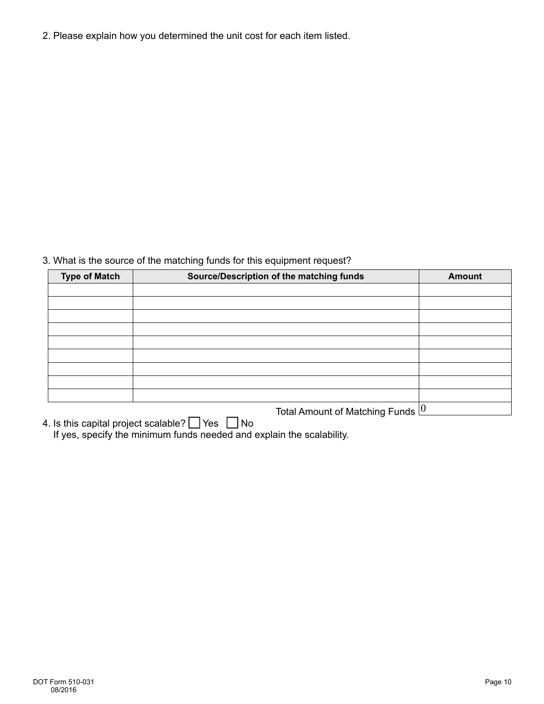2. Please explain how you determined the unit cost for each item listed.

### 3. What is the source of the matching funds for this equipment request?

| <b>Type of Match</b> | Source/Description of the matching funds   | <b>Amount</b> |  |  |
|----------------------|--------------------------------------------|---------------|--|--|
|                      |                                            |               |  |  |
|                      |                                            |               |  |  |
|                      |                                            |               |  |  |
|                      |                                            |               |  |  |
|                      |                                            |               |  |  |
|                      |                                            |               |  |  |
|                      |                                            |               |  |  |
|                      |                                            |               |  |  |
|                      |                                            |               |  |  |
|                      | Total Amount of Matching Funds $ 0\rangle$ |               |  |  |

4. Is this capital project scalable?  $\bigsqcup$  Yes  $\bigsqcup$  No If yes, specify the minimum funds needed and explain the scalability.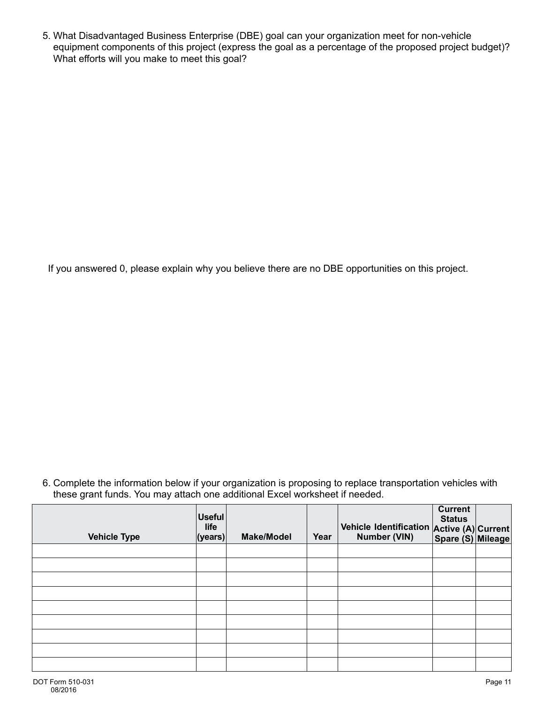5. What Disadvantaged Business Enterprise (DBE) goal can your organization meet for non-vehicle equipment components of this project (express the goal as a percentage of the proposed project budget)? What efforts will you make to meet this goal?

If you answered 0, please explain why you believe there are no DBE opportunities on this project.

6. Complete the information below if your organization is proposing to replace transportation vehicles with these grant funds. You may attach one additional Excel worksheet if needed.

| <b>Vehicle Type</b> | <b>Useful</b><br>life<br> ( <i>years</i> ) | <b>Make/Model</b> | Year | Vehicle Identification Active (A) Current<br>Number (VIN) Spare (S) Mileage | <b>Current</b><br><b>Status</b> |  |
|---------------------|--------------------------------------------|-------------------|------|-----------------------------------------------------------------------------|---------------------------------|--|
|                     |                                            |                   |      |                                                                             |                                 |  |
|                     |                                            |                   |      |                                                                             |                                 |  |
|                     |                                            |                   |      |                                                                             |                                 |  |
|                     |                                            |                   |      |                                                                             |                                 |  |
|                     |                                            |                   |      |                                                                             |                                 |  |
|                     |                                            |                   |      |                                                                             |                                 |  |
|                     |                                            |                   |      |                                                                             |                                 |  |
|                     |                                            |                   |      |                                                                             |                                 |  |
|                     |                                            |                   |      |                                                                             |                                 |  |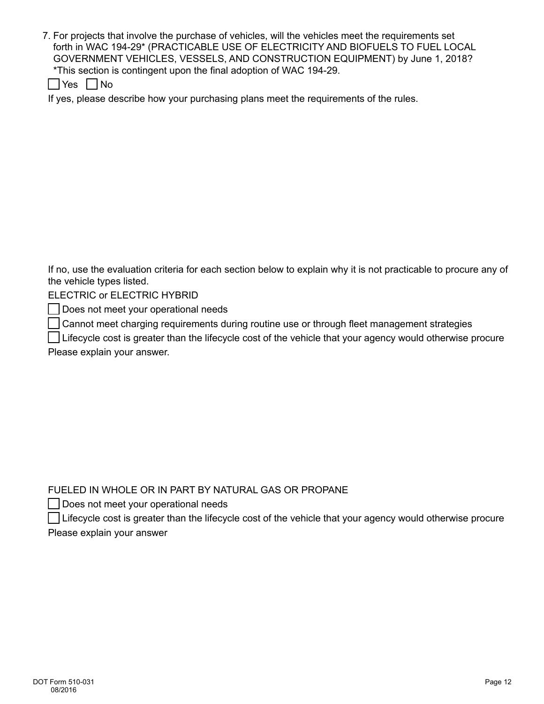7. For projects that involve the purchase of vehicles, will the vehicles meet the requirements set forth in WAC 194-29\* (PRACTICABLE USE OF ELECTRICITY AND BIOFUELS TO FUEL LOCAL GOVERNMENT VEHICLES, VESSELS, AND CONSTRUCTION EQUIPMENT) by June 1, 2018? \*This section is contingent upon the final adoption of WAC 194-29.

|  | ≏<br>- ט |  | N٥ |
|--|----------|--|----|
|--|----------|--|----|

If yes, please describe how your purchasing plans meet the requirements of the rules.

If no, use the evaluation criteria for each section below to explain why it is not practicable to procure any of the vehicle types listed.

ELECTRIC or ELECTRIC HYBRID

Does not meet your operational needs

Cannot meet charging requirements during routine use or through fleet management strategies

 Lifecycle cost is greater than the lifecycle cost of the vehicle that your agency would otherwise procure Please explain your answer.

#### FUELED IN WHOLE OR IN PART BY NATURAL GAS OR PROPANE

Does not meet your operational needs

 Lifecycle cost is greater than the lifecycle cost of the vehicle that your agency would otherwise procure Please explain your answer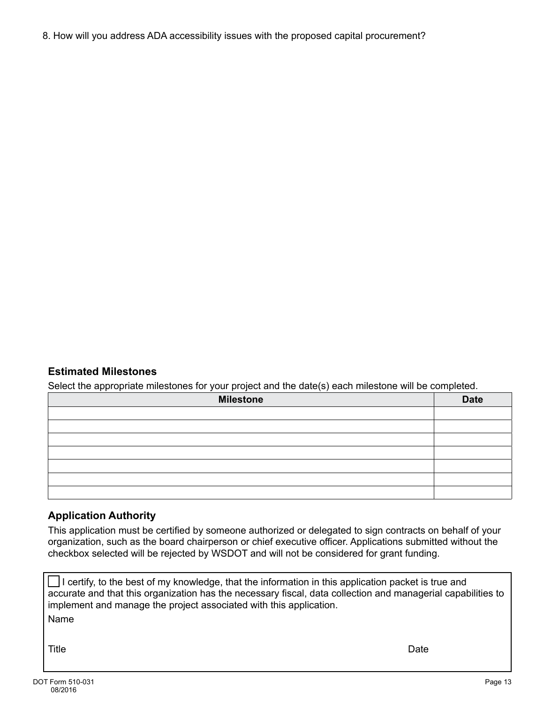8. How will you address ADA accessibility issues with the proposed capital procurement?

## **Estimated Milestones**

Select the appropriate milestones for your project and the date(s) each milestone will be completed.

| <b>Milestone</b> | <b>Date</b> |
|------------------|-------------|
|                  |             |
|                  |             |
|                  |             |
|                  |             |
|                  |             |
|                  |             |
|                  |             |

#### **Application Authority**

This application must be certified by someone authorized or delegated to sign contracts on behalf of your organization, such as the board chairperson or chief executive officer. Applications submitted without the checkbox selected will be rejected by WSDOT and will not be considered for grant funding.

I certify, to the best of my knowledge, that the information in this application packet is true and accurate and that this organization has the necessary fiscal, data collection and managerial capabilities to implement and manage the project associated with this application. Name

Title Date Date of the Date of the United States of the United States of the Date of the Date